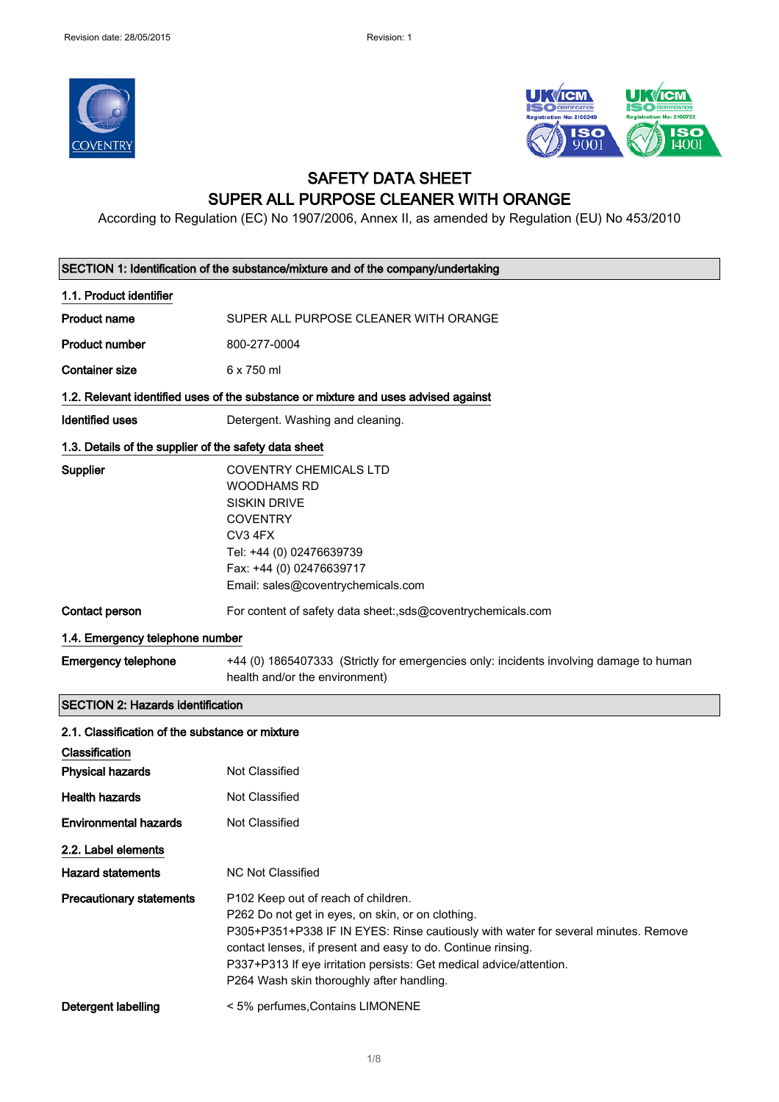



## SAFETY DATA SHEET SUPER ALL PURPOSE CLEANER WITH ORANGE

According to Regulation (EC) No 1907/2006, Annex II, as amended by Regulation (EU) No 453/2010

| SECTION 1: Identification of the substance/mixture and of the company/undertaking |                                                                                                                                                                                                                                                                                                                                                                    |
|-----------------------------------------------------------------------------------|--------------------------------------------------------------------------------------------------------------------------------------------------------------------------------------------------------------------------------------------------------------------------------------------------------------------------------------------------------------------|
| 1.1. Product identifier                                                           |                                                                                                                                                                                                                                                                                                                                                                    |
| <b>Product name</b>                                                               | SUPER ALL PURPOSE CLEANER WITH ORANGE                                                                                                                                                                                                                                                                                                                              |
| <b>Product number</b>                                                             | 800-277-0004                                                                                                                                                                                                                                                                                                                                                       |
| <b>Container size</b>                                                             | 6 x 750 ml                                                                                                                                                                                                                                                                                                                                                         |
|                                                                                   | 1.2. Relevant identified uses of the substance or mixture and uses advised against                                                                                                                                                                                                                                                                                 |
| <b>Identified uses</b>                                                            | Detergent. Washing and cleaning.                                                                                                                                                                                                                                                                                                                                   |
| 1.3. Details of the supplier of the safety data sheet                             |                                                                                                                                                                                                                                                                                                                                                                    |
| Supplier                                                                          | <b>COVENTRY CHEMICALS LTD</b><br><b>WOODHAMS RD</b><br><b>SISKIN DRIVE</b><br><b>COVENTRY</b><br>CV3 4FX<br>Tel: +44 (0) 02476639739<br>Fax: +44 (0) 02476639717<br>Email: sales@coventrychemicals.com                                                                                                                                                             |
| Contact person                                                                    | For content of safety data sheet:,sds@coventrychemicals.com                                                                                                                                                                                                                                                                                                        |
| 1.4. Emergency telephone number                                                   |                                                                                                                                                                                                                                                                                                                                                                    |
| <b>Emergency telephone</b>                                                        | +44 (0) 1865407333 (Strictly for emergencies only: incidents involving damage to human<br>health and/or the environment)                                                                                                                                                                                                                                           |
| <b>SECTION 2: Hazards identification</b>                                          |                                                                                                                                                                                                                                                                                                                                                                    |
| 2.1. Classification of the substance or mixture                                   |                                                                                                                                                                                                                                                                                                                                                                    |
| Classification                                                                    |                                                                                                                                                                                                                                                                                                                                                                    |
| <b>Physical hazards</b>                                                           | Not Classified                                                                                                                                                                                                                                                                                                                                                     |
| <b>Health hazards</b>                                                             | <b>Not Classified</b>                                                                                                                                                                                                                                                                                                                                              |
| <b>Environmental hazards</b>                                                      | <b>Not Classified</b>                                                                                                                                                                                                                                                                                                                                              |
| 2.2. Label elements                                                               |                                                                                                                                                                                                                                                                                                                                                                    |
| <b>Hazard statements</b>                                                          | <b>NC Not Classified</b>                                                                                                                                                                                                                                                                                                                                           |
| <b>Precautionary statements</b>                                                   | P102 Keep out of reach of children.<br>P262 Do not get in eyes, on skin, or on clothing.<br>P305+P351+P338 IF IN EYES: Rinse cautiously with water for several minutes. Remove<br>contact lenses, if present and easy to do. Continue rinsing.<br>P337+P313 If eye irritation persists: Get medical advice/attention.<br>P264 Wash skin thoroughly after handling. |
| Detergent labelling                                                               | < 5% perfumes, Contains LIMONENE                                                                                                                                                                                                                                                                                                                                   |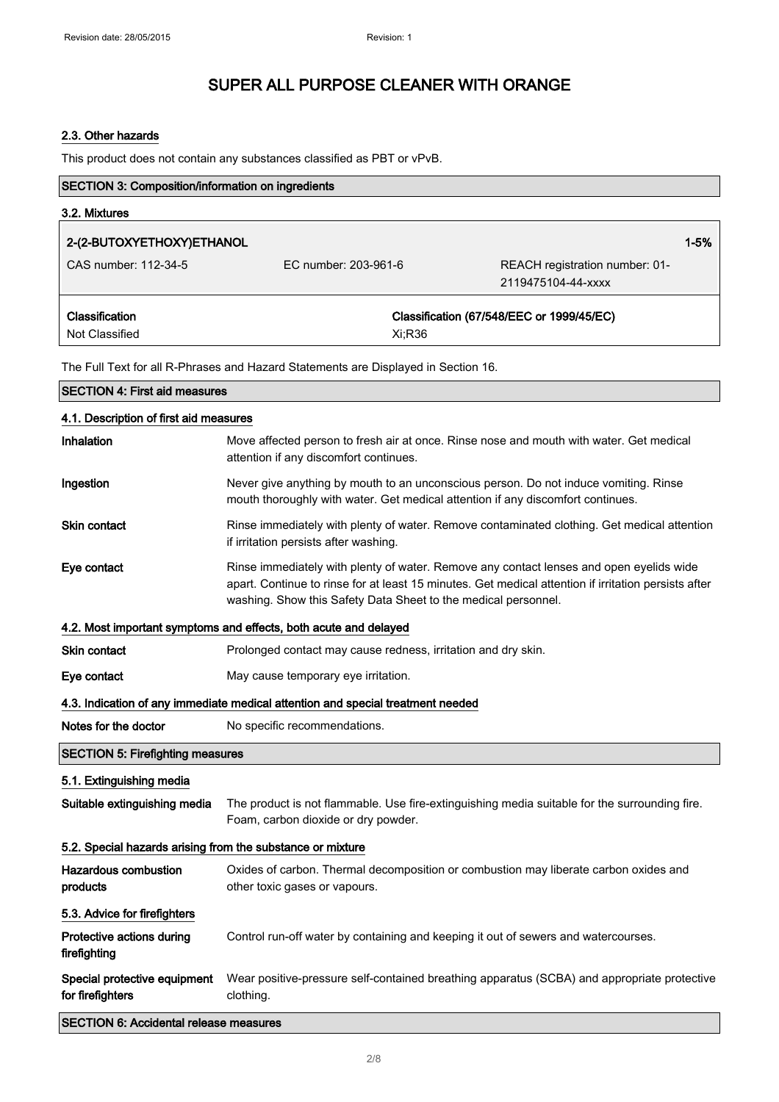### 2.3. Other hazards

This product does not contain any substances classified as PBT or vPvB.

| SECTION 3: Composition/information on ingredients          |                                                                                                                                                                                                                                                                   |                                                      |
|------------------------------------------------------------|-------------------------------------------------------------------------------------------------------------------------------------------------------------------------------------------------------------------------------------------------------------------|------------------------------------------------------|
| 3.2. Mixtures                                              |                                                                                                                                                                                                                                                                   |                                                      |
| 2-(2-BUTOXYETHOXY)ETHANOL                                  |                                                                                                                                                                                                                                                                   | $1 - 5%$                                             |
| CAS number: 112-34-5                                       | EC number: 203-961-6                                                                                                                                                                                                                                              | REACH registration number: 01-<br>2119475104-44-xxxx |
| Classification<br>Not Classified                           | Xi;R36                                                                                                                                                                                                                                                            | Classification (67/548/EEC or 1999/45/EC)            |
|                                                            | The Full Text for all R-Phrases and Hazard Statements are Displayed in Section 16.                                                                                                                                                                                |                                                      |
| <b>SECTION 4: First aid measures</b>                       |                                                                                                                                                                                                                                                                   |                                                      |
| 4.1. Description of first aid measures                     |                                                                                                                                                                                                                                                                   |                                                      |
| Inhalation                                                 | Move affected person to fresh air at once. Rinse nose and mouth with water. Get medical<br>attention if any discomfort continues.                                                                                                                                 |                                                      |
| Ingestion                                                  | Never give anything by mouth to an unconscious person. Do not induce vomiting. Rinse<br>mouth thoroughly with water. Get medical attention if any discomfort continues.                                                                                           |                                                      |
| <b>Skin contact</b>                                        | Rinse immediately with plenty of water. Remove contaminated clothing. Get medical attention<br>if irritation persists after washing.                                                                                                                              |                                                      |
| Eye contact                                                | Rinse immediately with plenty of water. Remove any contact lenses and open eyelids wide<br>apart. Continue to rinse for at least 15 minutes. Get medical attention if irritation persists after<br>washing. Show this Safety Data Sheet to the medical personnel. |                                                      |
|                                                            | 4.2. Most important symptoms and effects, both acute and delayed                                                                                                                                                                                                  |                                                      |
| Skin contact                                               | Prolonged contact may cause redness, irritation and dry skin.                                                                                                                                                                                                     |                                                      |
| Eye contact                                                | May cause temporary eye irritation.                                                                                                                                                                                                                               |                                                      |
|                                                            | 4.3. Indication of any immediate medical attention and special treatment needed                                                                                                                                                                                   |                                                      |
| Notes for the doctor                                       | No specific recommendations.                                                                                                                                                                                                                                      |                                                      |
| <b>SECTION 5: Firefighting measures</b>                    |                                                                                                                                                                                                                                                                   |                                                      |
| 5.1. Extinguishing media                                   |                                                                                                                                                                                                                                                                   |                                                      |
| Suitable extinguishing media                               | The product is not flammable. Use fire-extinguishing media suitable for the surrounding fire.<br>Foam, carbon dioxide or dry powder.                                                                                                                              |                                                      |
| 5.2. Special hazards arising from the substance or mixture |                                                                                                                                                                                                                                                                   |                                                      |
| <b>Hazardous combustion</b><br>products                    | Oxides of carbon. Thermal decomposition or combustion may liberate carbon oxides and<br>other toxic gases or vapours.                                                                                                                                             |                                                      |
| 5.3. Advice for firefighters                               |                                                                                                                                                                                                                                                                   |                                                      |
| Protective actions during<br>firefighting                  | Control run-off water by containing and keeping it out of sewers and watercourses.                                                                                                                                                                                |                                                      |
| Special protective equipment<br>for firefighters           | Wear positive-pressure self-contained breathing apparatus (SCBA) and appropriate protective<br>clothing.                                                                                                                                                          |                                                      |
| <b>SECTION 6: Accidental release measures</b>              |                                                                                                                                                                                                                                                                   |                                                      |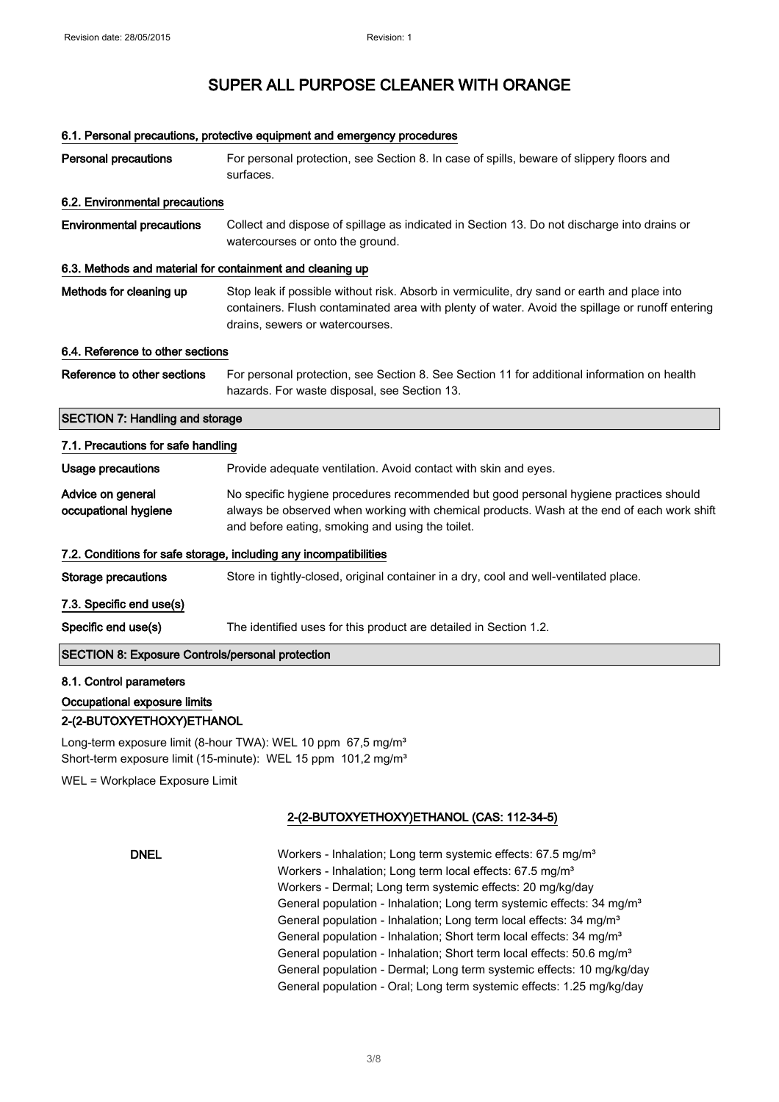#### 6.1. Personal precautions, protective equipment and emergency procedures

| <b>Personal precautions</b>                               | For personal protection, see Section 8. In case of spills, beware of slippery floors and<br>surfaces.                                                                                                                                   |
|-----------------------------------------------------------|-----------------------------------------------------------------------------------------------------------------------------------------------------------------------------------------------------------------------------------------|
| 6.2. Environmental precautions                            |                                                                                                                                                                                                                                         |
| <b>Environmental precautions</b>                          | Collect and dispose of spillage as indicated in Section 13. Do not discharge into drains or<br>watercourses or onto the ground.                                                                                                         |
| 6.3. Methods and material for containment and cleaning up |                                                                                                                                                                                                                                         |
| Methods for cleaning up                                   | Stop leak if possible without risk. Absorb in vermiculite, dry sand or earth and place into<br>containers. Flush contaminated area with plenty of water. Avoid the spillage or runoff entering<br>drains, sewers or watercourses.       |
| 6.4. Reference to other sections                          |                                                                                                                                                                                                                                         |
| Reference to other sections                               | For personal protection, see Section 8. See Section 11 for additional information on health<br>hazards. For waste disposal, see Section 13.                                                                                             |
| <b>SECTION 7: Handling and storage</b>                    |                                                                                                                                                                                                                                         |
| 7.1. Precautions for safe handling                        |                                                                                                                                                                                                                                         |
| Usage precautions                                         | Provide adequate ventilation. Avoid contact with skin and eyes.                                                                                                                                                                         |
| Advice on general<br>occupational hygiene                 | No specific hygiene procedures recommended but good personal hygiene practices should<br>always be observed when working with chemical products. Wash at the end of each work shift<br>and before eating, smoking and using the toilet. |
|                                                           | 7.2. Conditions for safe storage, including any incompatibilities                                                                                                                                                                       |
| <b>Storage precautions</b>                                | Store in tightly-closed, original container in a dry, cool and well-ventilated place.                                                                                                                                                   |
| 7.3. Specific end use(s)                                  |                                                                                                                                                                                                                                         |
| Specific end use(s)                                       | The identified uses for this product are detailed in Section 1.2.                                                                                                                                                                       |
| <b>SECTION 8: Exposure Controls/personal protection</b>   |                                                                                                                                                                                                                                         |
| 8.1. Control parameters                                   |                                                                                                                                                                                                                                         |
| Occupational exposure limits                              |                                                                                                                                                                                                                                         |
| 2-(2-BUTOXYETHOXY)ETHANOL                                 |                                                                                                                                                                                                                                         |

Long-term exposure limit (8-hour TWA): WEL 10 ppm 67,5 mg/m<sup>3</sup> Short-term exposure limit (15-minute): WEL 15 ppm 101,2 mg/m<sup>3</sup>

WEL = Workplace Exposure Limit

### 2-(2-BUTOXYETHOXY)ETHANOL (CAS: 112-34-5)

### DNEL Workers - Inhalation; Long term systemic effects: 67.5 mg/m<sup>3</sup> Workers - Inhalation; Long term local effects: 67.5 mg/m<sup>3</sup> Workers - Dermal; Long term systemic effects: 20 mg/kg/day General population - Inhalation; Long term systemic effects: 34 mg/m<sup>3</sup> General population - Inhalation; Long term local effects: 34 mg/m<sup>3</sup> General population - Inhalation; Short term local effects: 34 mg/m<sup>3</sup> General population - Inhalation; Short term local effects: 50.6 mg/m<sup>3</sup> General population - Dermal; Long term systemic effects: 10 mg/kg/day General population - Oral; Long term systemic effects: 1.25 mg/kg/day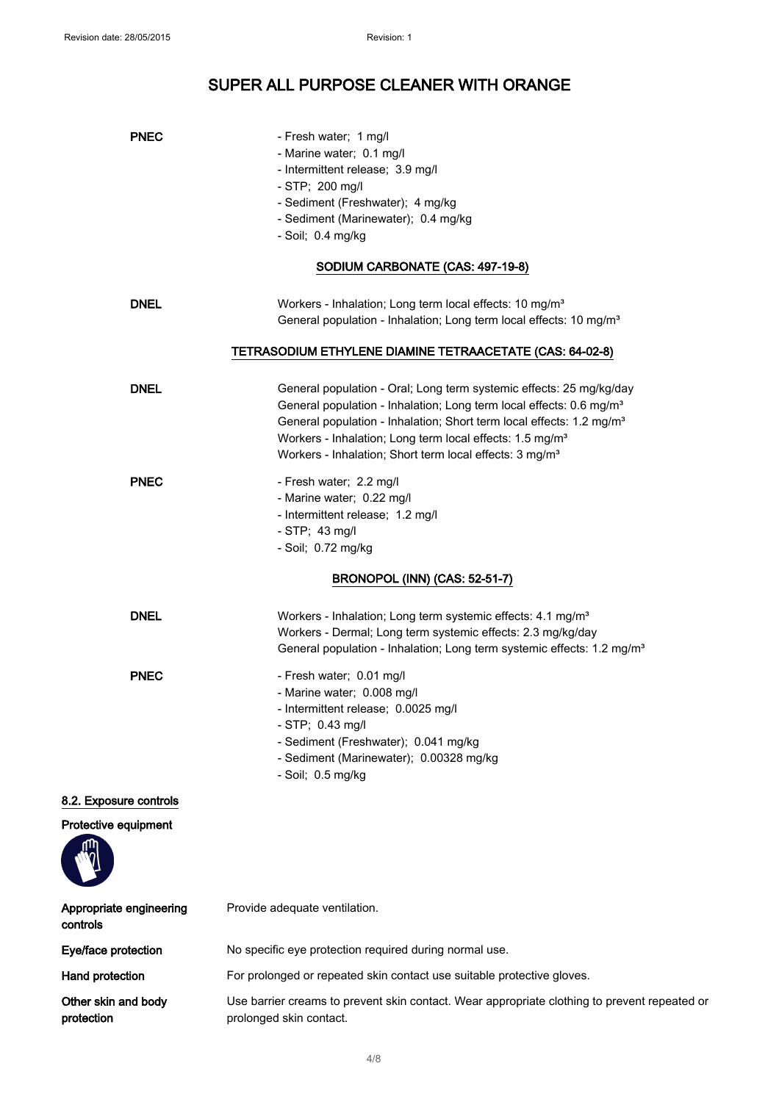| <b>PNEC</b>                         | - Fresh water; 1 mg/l<br>- Marine water; 0.1 mg/l<br>- Intermittent release; 3.9 mg/l<br>$-$ STP; 200 mg/l<br>- Sediment (Freshwater); 4 mg/kg<br>- Sediment (Marinewater); 0.4 mg/kg<br>- Soil; 0.4 mg/kg                                                                                                                                                                                |
|-------------------------------------|-------------------------------------------------------------------------------------------------------------------------------------------------------------------------------------------------------------------------------------------------------------------------------------------------------------------------------------------------------------------------------------------|
|                                     | SODIUM CARBONATE (CAS: 497-19-8)                                                                                                                                                                                                                                                                                                                                                          |
| <b>DNEL</b>                         | Workers - Inhalation; Long term local effects: 10 mg/m <sup>3</sup><br>General population - Inhalation; Long term local effects: 10 mg/m <sup>3</sup>                                                                                                                                                                                                                                     |
|                                     | TETRASODIUM ETHYLENE DIAMINE TETRAACETATE (CAS: 64-02-8)                                                                                                                                                                                                                                                                                                                                  |
| <b>DNEL</b>                         | General population - Oral; Long term systemic effects: 25 mg/kg/day<br>General population - Inhalation; Long term local effects: 0.6 mg/m <sup>3</sup><br>General population - Inhalation; Short term local effects: 1.2 mg/m <sup>3</sup><br>Workers - Inhalation; Long term local effects: 1.5 mg/m <sup>3</sup><br>Workers - Inhalation; Short term local effects: 3 mg/m <sup>3</sup> |
| <b>PNEC</b>                         | - Fresh water; 2.2 mg/l<br>- Marine water; 0.22 mg/l<br>- Intermittent release; 1.2 mg/l<br>- STP; 43 mg/l<br>- Soil; 0.72 mg/kg                                                                                                                                                                                                                                                          |
|                                     | <b>BRONOPOL (INN) (CAS: 52-51-7)</b>                                                                                                                                                                                                                                                                                                                                                      |
| <b>DNEL</b>                         | Workers - Inhalation; Long term systemic effects: 4.1 mg/m <sup>3</sup><br>Workers - Dermal; Long term systemic effects: 2.3 mg/kg/day<br>General population - Inhalation; Long term systemic effects: 1.2 mg/m <sup>3</sup>                                                                                                                                                              |
| <b>PNEC</b>                         | - Fresh water; 0.01 mg/l<br>- Marine water; 0.008 mg/l<br>- Intermittent release; 0.0025 mg/l<br>- STP; 0.43 mg/l<br>- Sediment (Freshwater); 0.041 mg/kg<br>- Sediment (Marinewater); 0.00328 mg/kg<br>- Soil; 0.5 mg/kg                                                                                                                                                                 |
| 8.2. Exposure controls              |                                                                                                                                                                                                                                                                                                                                                                                           |
| Protective equipment                |                                                                                                                                                                                                                                                                                                                                                                                           |
| Appropriate engineering<br>controls | Provide adequate ventilation.                                                                                                                                                                                                                                                                                                                                                             |
| Eye/face protection                 | No specific eye protection required during normal use.                                                                                                                                                                                                                                                                                                                                    |
| Hand protection                     | For prolonged or repeated skin contact use suitable protective gloves.                                                                                                                                                                                                                                                                                                                    |
| Other skin and body<br>protection   | Use barrier creams to prevent skin contact. Wear appropriate clothing to prevent repeated or<br>prolonged skin contact.                                                                                                                                                                                                                                                                   |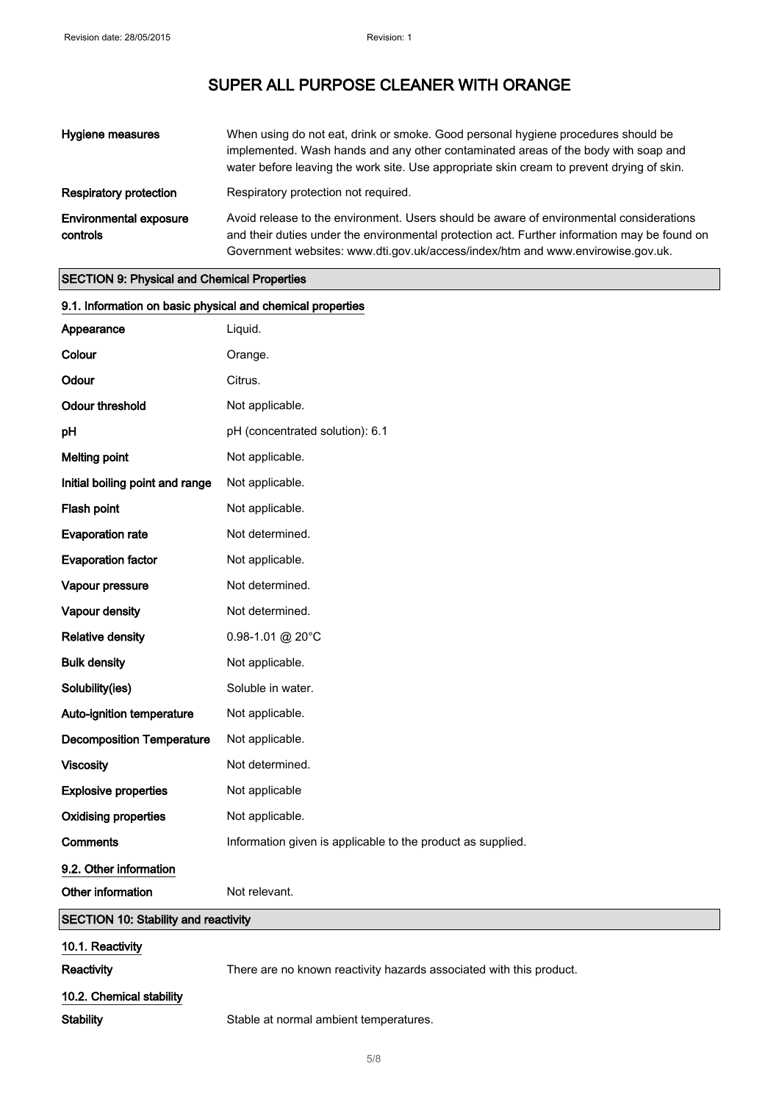| <b>Hygiene measures</b>                   | When using do not eat, drink or smoke. Good personal hygiene procedures should be<br>implemented. Wash hands and any other contaminated areas of the body with soap and<br>water before leaving the work site. Use appropriate skin cream to prevent drying of skin.       |
|-------------------------------------------|----------------------------------------------------------------------------------------------------------------------------------------------------------------------------------------------------------------------------------------------------------------------------|
| <b>Respiratory protection</b>             | Respiratory protection not required.                                                                                                                                                                                                                                       |
| <b>Environmental exposure</b><br>controls | Avoid release to the environment. Users should be aware of environmental considerations<br>and their duties under the environmental protection act. Further information may be found on<br>Government websites: www.dti.gov.uk/access/index/htm and www.envirowise.gov.uk. |

## SECTION 9: Physical and Chemical Properties

| 9.1. Information on basic physical and chemical properties |                                                                     |
|------------------------------------------------------------|---------------------------------------------------------------------|
| Appearance                                                 | Liquid.                                                             |
| Colour                                                     | Orange.                                                             |
| Odour                                                      | Citrus.                                                             |
| <b>Odour threshold</b>                                     | Not applicable.                                                     |
| pH                                                         | pH (concentrated solution): 6.1                                     |
| <b>Melting point</b>                                       | Not applicable.                                                     |
| Initial boiling point and range                            | Not applicable.                                                     |
| Flash point                                                | Not applicable.                                                     |
| <b>Evaporation rate</b>                                    | Not determined.                                                     |
| <b>Evaporation factor</b>                                  | Not applicable.                                                     |
| Vapour pressure                                            | Not determined.                                                     |
| Vapour density                                             | Not determined.                                                     |
| <b>Relative density</b>                                    | 0.98-1.01 @ 20°C                                                    |
| <b>Bulk density</b>                                        | Not applicable.                                                     |
| Solubility(ies)                                            | Soluble in water.                                                   |
| Auto-ignition temperature                                  | Not applicable.                                                     |
| <b>Decomposition Temperature</b>                           | Not applicable.                                                     |
| <b>Viscosity</b>                                           | Not determined.                                                     |
| <b>Explosive properties</b>                                | Not applicable                                                      |
| <b>Oxidising properties</b>                                | Not applicable.                                                     |
| <b>Comments</b>                                            | Information given is applicable to the product as supplied.         |
| 9.2. Other information                                     |                                                                     |
| Other information                                          | Not relevant.                                                       |
| SECTION 10: Stability and reactivity                       |                                                                     |
| 10.1. Reactivity                                           |                                                                     |
| Reactivity                                                 | There are no known reactivity hazards associated with this product. |
| 10.2. Chemical stability                                   |                                                                     |

Stability Stable at normal ambient temperatures.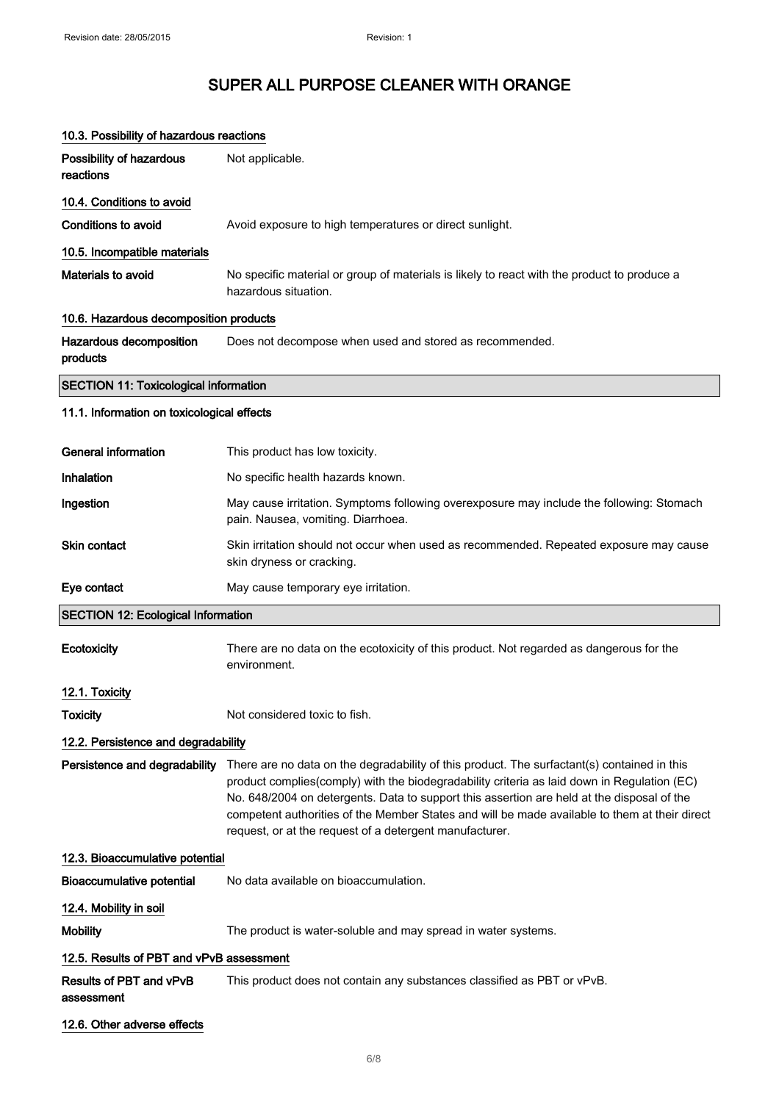| 10.3. Possibility of hazardous reactions     |                                                                                                                                                                                                                                                                                                                                                                                                                                                      |
|----------------------------------------------|------------------------------------------------------------------------------------------------------------------------------------------------------------------------------------------------------------------------------------------------------------------------------------------------------------------------------------------------------------------------------------------------------------------------------------------------------|
| Possibility of hazardous<br>reactions        | Not applicable.                                                                                                                                                                                                                                                                                                                                                                                                                                      |
| 10.4. Conditions to avoid                    |                                                                                                                                                                                                                                                                                                                                                                                                                                                      |
| <b>Conditions to avoid</b>                   | Avoid exposure to high temperatures or direct sunlight.                                                                                                                                                                                                                                                                                                                                                                                              |
| 10.5. Incompatible materials                 |                                                                                                                                                                                                                                                                                                                                                                                                                                                      |
| Materials to avoid                           | No specific material or group of materials is likely to react with the product to produce a<br>hazardous situation.                                                                                                                                                                                                                                                                                                                                  |
| 10.6. Hazardous decomposition products       |                                                                                                                                                                                                                                                                                                                                                                                                                                                      |
| Hazardous decomposition<br>products          | Does not decompose when used and stored as recommended.                                                                                                                                                                                                                                                                                                                                                                                              |
| <b>SECTION 11: Toxicological information</b> |                                                                                                                                                                                                                                                                                                                                                                                                                                                      |
| 11.1. Information on toxicological effects   |                                                                                                                                                                                                                                                                                                                                                                                                                                                      |
| <b>General information</b>                   | This product has low toxicity.                                                                                                                                                                                                                                                                                                                                                                                                                       |
| Inhalation                                   |                                                                                                                                                                                                                                                                                                                                                                                                                                                      |
|                                              | No specific health hazards known.                                                                                                                                                                                                                                                                                                                                                                                                                    |
| Ingestion                                    | May cause irritation. Symptoms following overexposure may include the following: Stomach<br>pain. Nausea, vomiting. Diarrhoea.                                                                                                                                                                                                                                                                                                                       |
| Skin contact                                 | Skin irritation should not occur when used as recommended. Repeated exposure may cause<br>skin dryness or cracking.                                                                                                                                                                                                                                                                                                                                  |
| Eye contact                                  | May cause temporary eye irritation.                                                                                                                                                                                                                                                                                                                                                                                                                  |
| <b>SECTION 12: Ecological Information</b>    |                                                                                                                                                                                                                                                                                                                                                                                                                                                      |
| Ecotoxicity                                  | There are no data on the ecotoxicity of this product. Not regarded as dangerous for the<br>environment.                                                                                                                                                                                                                                                                                                                                              |
| 12.1. Toxicity                               |                                                                                                                                                                                                                                                                                                                                                                                                                                                      |
| Toxicity                                     | Not considered toxic to fish.                                                                                                                                                                                                                                                                                                                                                                                                                        |
| 12.2. Persistence and degradability          |                                                                                                                                                                                                                                                                                                                                                                                                                                                      |
| Persistence and degradability                | There are no data on the degradability of this product. The surfactant(s) contained in this<br>product complies(comply) with the biodegradability criteria as laid down in Regulation (EC)<br>No. 648/2004 on detergents. Data to support this assertion are held at the disposal of the<br>competent authorities of the Member States and will be made available to them at their direct<br>request, or at the request of a detergent manufacturer. |
| 12.3. Bioaccumulative potential              |                                                                                                                                                                                                                                                                                                                                                                                                                                                      |
| <b>Bioaccumulative potential</b>             | No data available on bioaccumulation.                                                                                                                                                                                                                                                                                                                                                                                                                |
| 12.4. Mobility in soil                       |                                                                                                                                                                                                                                                                                                                                                                                                                                                      |
| <b>Mobility</b>                              | The product is water-soluble and may spread in water systems.                                                                                                                                                                                                                                                                                                                                                                                        |
| 12.5. Results of PBT and vPvB assessment     |                                                                                                                                                                                                                                                                                                                                                                                                                                                      |

#### Results of PBT and vPvB assessment This product does not contain any substances classified as PBT or vPvB.

#### 12.6. Other adverse effects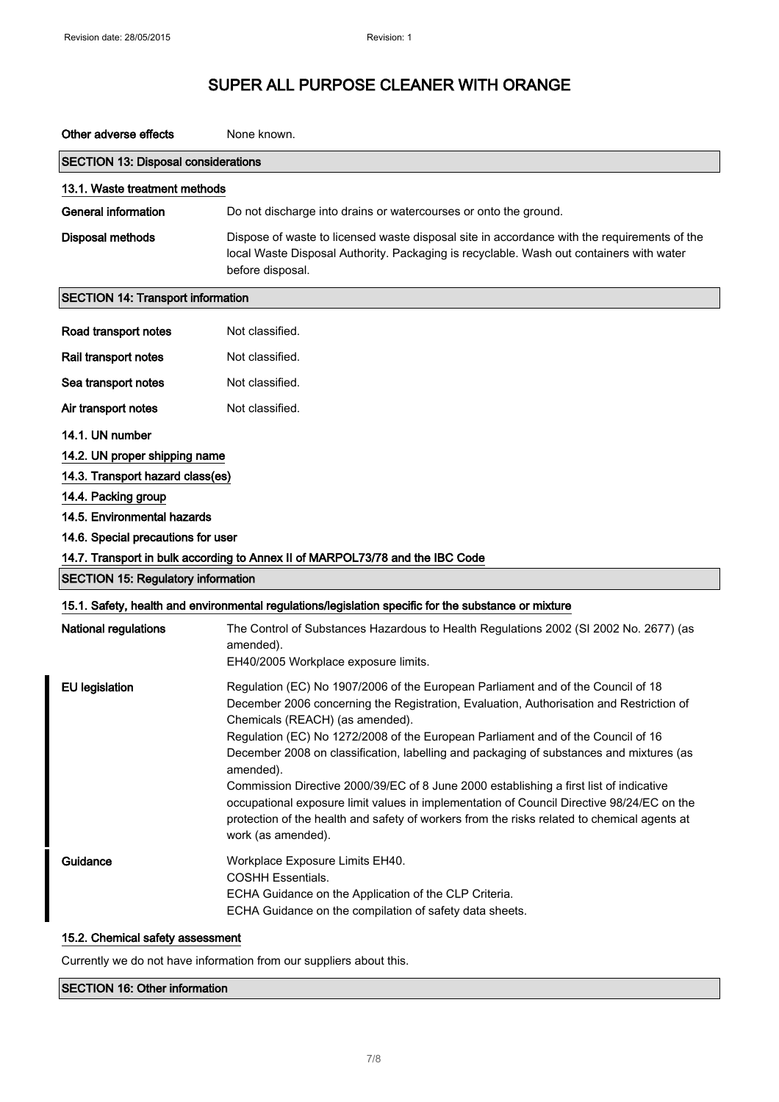| Other adverse effects                                                                                                                                                                                                                                                                                                                                                                                                                                                                                                                                                                               | None known.                                                                                                                                                                                                                                                                                                                                                                                                                                                                                                                                                                                                                                                                                                                                               |
|-----------------------------------------------------------------------------------------------------------------------------------------------------------------------------------------------------------------------------------------------------------------------------------------------------------------------------------------------------------------------------------------------------------------------------------------------------------------------------------------------------------------------------------------------------------------------------------------------------|-----------------------------------------------------------------------------------------------------------------------------------------------------------------------------------------------------------------------------------------------------------------------------------------------------------------------------------------------------------------------------------------------------------------------------------------------------------------------------------------------------------------------------------------------------------------------------------------------------------------------------------------------------------------------------------------------------------------------------------------------------------|
| <b>SECTION 13: Disposal considerations</b>                                                                                                                                                                                                                                                                                                                                                                                                                                                                                                                                                          |                                                                                                                                                                                                                                                                                                                                                                                                                                                                                                                                                                                                                                                                                                                                                           |
| 13.1. Waste treatment methods                                                                                                                                                                                                                                                                                                                                                                                                                                                                                                                                                                       |                                                                                                                                                                                                                                                                                                                                                                                                                                                                                                                                                                                                                                                                                                                                                           |
| <b>General information</b>                                                                                                                                                                                                                                                                                                                                                                                                                                                                                                                                                                          | Do not discharge into drains or watercourses or onto the ground.                                                                                                                                                                                                                                                                                                                                                                                                                                                                                                                                                                                                                                                                                          |
| <b>Disposal methods</b>                                                                                                                                                                                                                                                                                                                                                                                                                                                                                                                                                                             | Dispose of waste to licensed waste disposal site in accordance with the requirements of the<br>local Waste Disposal Authority. Packaging is recyclable. Wash out containers with water<br>before disposal.                                                                                                                                                                                                                                                                                                                                                                                                                                                                                                                                                |
| <b>SECTION 14: Transport information</b>                                                                                                                                                                                                                                                                                                                                                                                                                                                                                                                                                            |                                                                                                                                                                                                                                                                                                                                                                                                                                                                                                                                                                                                                                                                                                                                                           |
| Road transport notes                                                                                                                                                                                                                                                                                                                                                                                                                                                                                                                                                                                | Not classified.                                                                                                                                                                                                                                                                                                                                                                                                                                                                                                                                                                                                                                                                                                                                           |
| Rail transport notes                                                                                                                                                                                                                                                                                                                                                                                                                                                                                                                                                                                | Not classified.                                                                                                                                                                                                                                                                                                                                                                                                                                                                                                                                                                                                                                                                                                                                           |
| Sea transport notes                                                                                                                                                                                                                                                                                                                                                                                                                                                                                                                                                                                 | Not classified.                                                                                                                                                                                                                                                                                                                                                                                                                                                                                                                                                                                                                                                                                                                                           |
| Air transport notes                                                                                                                                                                                                                                                                                                                                                                                                                                                                                                                                                                                 | Not classified.                                                                                                                                                                                                                                                                                                                                                                                                                                                                                                                                                                                                                                                                                                                                           |
| 14.1. UN number<br>14.2. UN proper shipping name<br>14.3. Transport hazard class(es)<br>14.4. Packing group<br>14.5. Environmental hazards<br>14.6. Special precautions for user<br>14.7. Transport in bulk according to Annex II of MARPOL73/78 and the IBC Code<br><b>SECTION 15: Regulatory information</b><br>15.1. Safety, health and environmental regulations/legislation specific for the substance or mixture<br><b>National regulations</b><br>The Control of Substances Hazardous to Health Regulations 2002 (SI 2002 No. 2677) (as<br>amended).<br>EH40/2005 Workplace exposure limits. |                                                                                                                                                                                                                                                                                                                                                                                                                                                                                                                                                                                                                                                                                                                                                           |
| <b>EU</b> legislation<br>Guidance                                                                                                                                                                                                                                                                                                                                                                                                                                                                                                                                                                   | Regulation (EC) No 1907/2006 of the European Parliament and of the Council of 18<br>December 2006 concerning the Registration, Evaluation, Authorisation and Restriction of<br>Chemicals (REACH) (as amended).<br>Regulation (EC) No 1272/2008 of the European Parliament and of the Council of 16<br>December 2008 on classification, labelling and packaging of substances and mixtures (as<br>amended).<br>Commission Directive 2000/39/EC of 8 June 2000 establishing a first list of indicative<br>occupational exposure limit values in implementation of Council Directive 98/24/EC on the<br>protection of the health and safety of workers from the risks related to chemical agents at<br>work (as amended).<br>Workplace Exposure Limits EH40. |
|                                                                                                                                                                                                                                                                                                                                                                                                                                                                                                                                                                                                     | <b>COSHH Essentials.</b><br>ECHA Guidance on the Application of the CLP Criteria.<br>ECHA Guidance on the compilation of safety data sheets.                                                                                                                                                                                                                                                                                                                                                                                                                                                                                                                                                                                                              |

### 15.2. Chemical safety assessment

Currently we do not have information from our suppliers about this.

#### SECTION 16: Other information